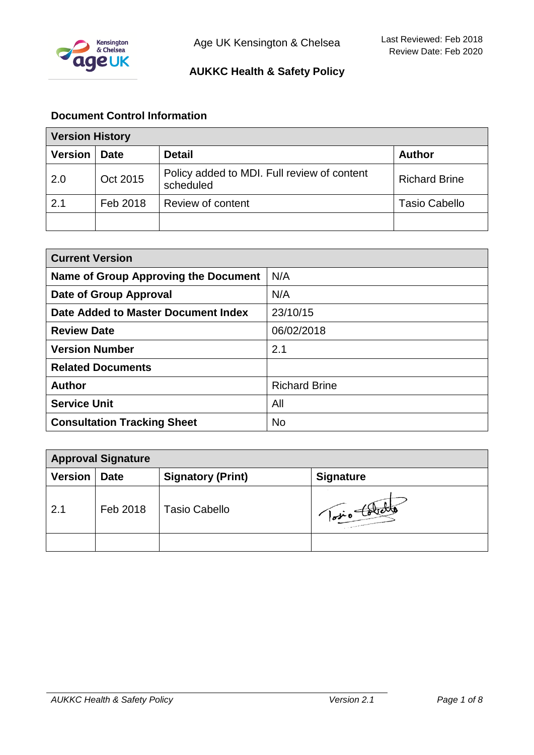

## **Document Control Information**

| <b>Version History</b> |             |                                                          |                      |
|------------------------|-------------|----------------------------------------------------------|----------------------|
| <b>Version</b>         | <b>Date</b> | <b>Detail</b>                                            | <b>Author</b>        |
| 2.0                    | Oct 2015    | Policy added to MDI. Full review of content<br>scheduled | <b>Richard Brine</b> |
| 2.1                    | Feb 2018    | Review of content                                        | <b>Tasio Cabello</b> |
|                        |             |                                                          |                      |

| <b>Current Version</b>               |                      |  |
|--------------------------------------|----------------------|--|
| Name of Group Approving the Document | N/A                  |  |
| Date of Group Approval               | N/A                  |  |
| Date Added to Master Document Index  | 23/10/15             |  |
| <b>Review Date</b>                   | 06/02/2018           |  |
| <b>Version Number</b>                | 2.1                  |  |
| <b>Related Documents</b>             |                      |  |
| <b>Author</b>                        | <b>Richard Brine</b> |  |
| <b>Service Unit</b>                  | All                  |  |
| <b>Consultation Tracking Sheet</b>   | <b>No</b>            |  |

| <b>Approval Signature</b> |             |                          |                  |
|---------------------------|-------------|--------------------------|------------------|
| <b>Version</b>            | <b>Date</b> | <b>Signatory (Print)</b> | <b>Signature</b> |
| 2.1                       | Feb 2018    | Tasio Cabello            | protote          |
|                           |             |                          |                  |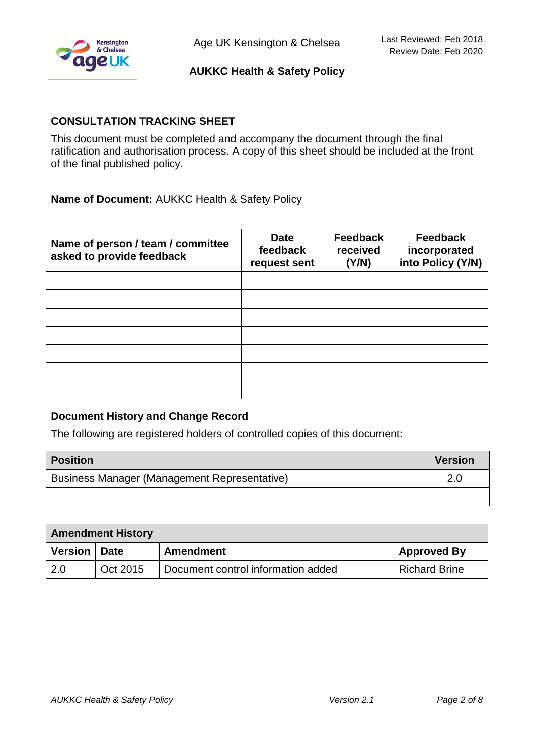

## **CONSULTATION TRACKING SHEET**

This document must be completed and accompany the document through the final ratification and authorisation process. A copy of this sheet should be included at the front of the final published policy.

## **Name of Document:** AUKKC Health & Safety Policy

| Name of person / team / committee<br>asked to provide feedback | <b>Date</b><br>feedback<br>request sent | <b>Feedback</b><br>received<br>(Y/N) | <b>Feedback</b><br>incorporated<br>into Policy (Y/N) |
|----------------------------------------------------------------|-----------------------------------------|--------------------------------------|------------------------------------------------------|
|                                                                |                                         |                                      |                                                      |
|                                                                |                                         |                                      |                                                      |
|                                                                |                                         |                                      |                                                      |
|                                                                |                                         |                                      |                                                      |
|                                                                |                                         |                                      |                                                      |
|                                                                |                                         |                                      |                                                      |
|                                                                |                                         |                                      |                                                      |

#### **Document History and Change Record**

The following are registered holders of controlled copies of this document:

| <b>Position</b>                              | <b>Version</b> |
|----------------------------------------------|----------------|
| Business Manager (Management Representative) | 2.0            |
|                                              |                |

| <b>Amendment History</b> |             |                                    |                      |
|--------------------------|-------------|------------------------------------|----------------------|
| <b>Version</b>           | <b>Date</b> | Amendment                          | <b>Approved By</b>   |
| -2.0                     | Oct 2015    | Document control information added | <b>Richard Brine</b> |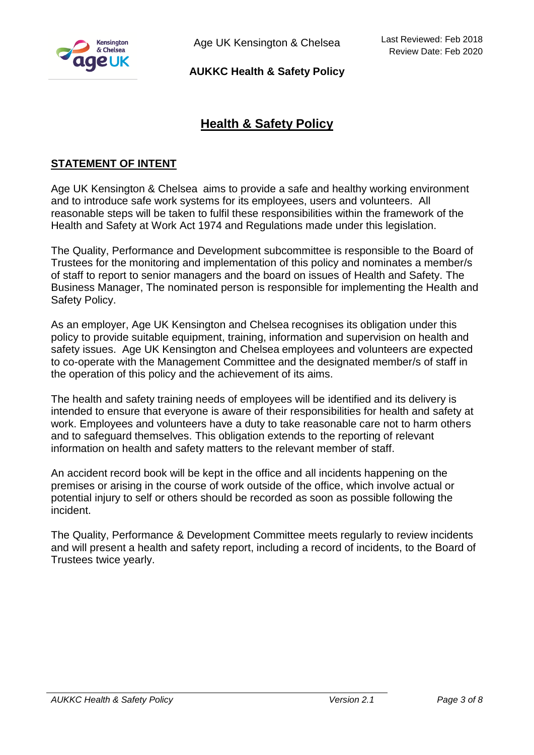

Age UK Kensington & Chelsea

**AUKKC Health & Safety Policy**

# **Health & Safety Policy**

## **STATEMENT OF INTENT**

Age UK Kensington & Chelsea aims to provide a safe and healthy working environment and to introduce safe work systems for its employees, users and volunteers. All reasonable steps will be taken to fulfil these responsibilities within the framework of the Health and Safety at Work Act 1974 and Regulations made under this legislation.

The Quality, Performance and Development subcommittee is responsible to the Board of Trustees for the monitoring and implementation of this policy and nominates a member/s of staff to report to senior managers and the board on issues of Health and Safety. The Business Manager, The nominated person is responsible for implementing the Health and Safety Policy.

As an employer, Age UK Kensington and Chelsea recognises its obligation under this policy to provide suitable equipment, training, information and supervision on health and safety issues. Age UK Kensington and Chelsea employees and volunteers are expected to co-operate with the Management Committee and the designated member/s of staff in the operation of this policy and the achievement of its aims.

The health and safety training needs of employees will be identified and its delivery is intended to ensure that everyone is aware of their responsibilities for health and safety at work. Employees and volunteers have a duty to take reasonable care not to harm others and to safeguard themselves. This obligation extends to the reporting of relevant information on health and safety matters to the relevant member of staff.

An accident record book will be kept in the office and all incidents happening on the premises or arising in the course of work outside of the office, which involve actual or potential injury to self or others should be recorded as soon as possible following the incident.

The Quality, Performance & Development Committee meets regularly to review incidents and will present a health and safety report, including a record of incidents, to the Board of Trustees twice yearly.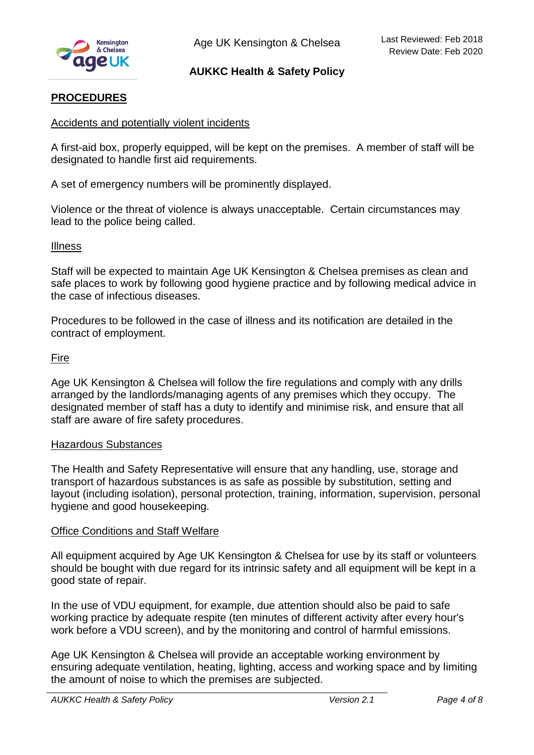

## **PROCEDURES**

#### Accidents and potentially violent incidents

A first-aid box, properly equipped, will be kept on the premises. A member of staff will be designated to handle first aid requirements.

A set of emergency numbers will be prominently displayed.

Violence or the threat of violence is always unacceptable. Certain circumstances may lead to the police being called.

#### Illness

Staff will be expected to maintain Age UK Kensington & Chelsea premises as clean and safe places to work by following good hygiene practice and by following medical advice in the case of infectious diseases.

Procedures to be followed in the case of illness and its notification are detailed in the contract of employment.

#### Fire

Age UK Kensington & Chelsea will follow the fire regulations and comply with any drills arranged by the landlords/managing agents of any premises which they occupy. The designated member of staff has a duty to identify and minimise risk, and ensure that all staff are aware of fire safety procedures.

#### Hazardous Substances

The Health and Safety Representative will ensure that any handling, use, storage and transport of hazardous substances is as safe as possible by substitution, setting and layout (including isolation), personal protection, training, information, supervision, personal hygiene and good housekeeping.

#### Office Conditions and Staff Welfare

All equipment acquired by Age UK Kensington & Chelsea for use by its staff or volunteers should be bought with due regard for its intrinsic safety and all equipment will be kept in a good state of repair.

In the use of VDU equipment, for example, due attention should also be paid to safe working practice by adequate respite (ten minutes of different activity after every hour's work before a VDU screen), and by the monitoring and control of harmful emissions.

Age UK Kensington & Chelsea will provide an acceptable working environment by ensuring adequate ventilation, heating, lighting, access and working space and by limiting the amount of noise to which the premises are subjected.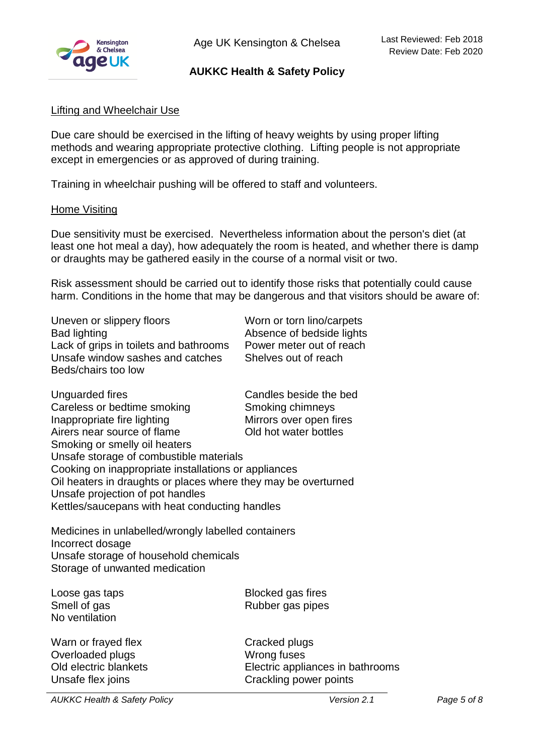

### Lifting and Wheelchair Use

Due care should be exercised in the lifting of heavy weights by using proper lifting methods and wearing appropriate protective clothing. Lifting people is not appropriate except in emergencies or as approved of during training.

Training in wheelchair pushing will be offered to staff and volunteers.

#### Home Visiting

Due sensitivity must be exercised. Nevertheless information about the person's diet (at least one hot meal a day), how adequately the room is heated, and whether there is damp or draughts may be gathered easily in the course of a normal visit or two.

Risk assessment should be carried out to identify those risks that potentially could cause harm. Conditions in the home that may be dangerous and that visitors should be aware of:

Uneven or slippery floors Worn or torn lino/carpets Bad lighting **Bad lighting Absence of bedside lights** Lack of grips in toilets and bathrooms Power meter out of reach Unsafe window sashes and catches Shelves out of reach Beds/chairs too low

| Unguarded fires                                                | Candles beside the bed  |  |
|----------------------------------------------------------------|-------------------------|--|
| Careless or bedtime smoking                                    | Smoking chimneys        |  |
| Inappropriate fire lighting                                    | Mirrors over open fires |  |
| Airers near source of flame                                    | Old hot water bottles   |  |
| Smoking or smelly oil heaters                                  |                         |  |
| Unsafe storage of combustible materials                        |                         |  |
| Cooking on inappropriate installations or appliances           |                         |  |
| Oil heaters in draughts or places where they may be overturned |                         |  |
| Unsafe projection of pot handles                               |                         |  |
| Kettles/saucepans with heat conducting handles                 |                         |  |

Medicines in unlabelled/wrongly labelled containers Incorrect dosage Unsafe storage of household chemicals Storage of unwanted medication

No ventilation

Warn or frayed flex Cracked plugs Overloaded plugs November 2012

Loose gas taps **Blocked** gas fires Smell of gas **Rubber gas pipes** Rubber gas pipes

Old electric blankets Electric appliances in bathrooms Unsafe flex joins **Crackling power points** 

*AUKKC Health & Safety Policy Version 2.1 Page 5 of 8*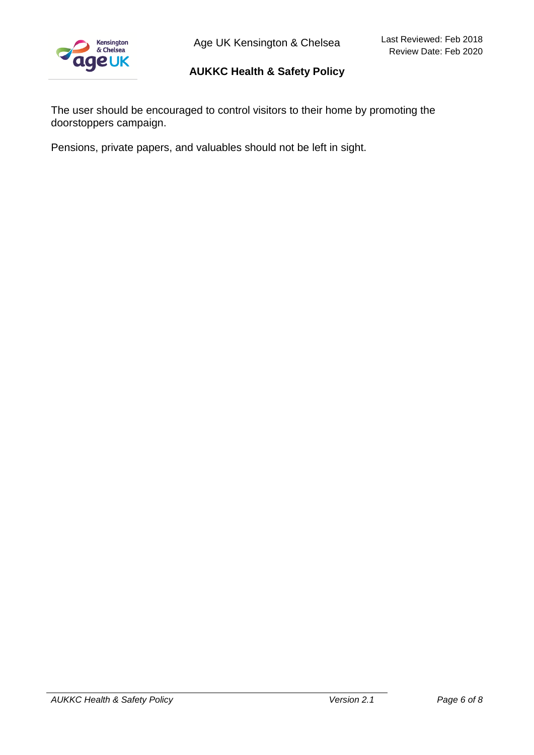

Age UK Kensington & Chelsea

## **AUKKC Health & Safety Policy**

The user should be encouraged to control visitors to their home by promoting the doorstoppers campaign.

Pensions, private papers, and valuables should not be left in sight.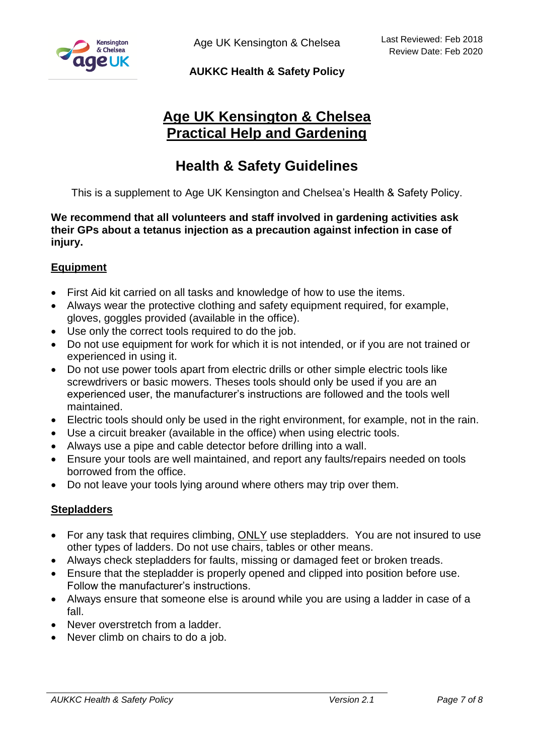

Age UK Kensington & Chelsea

## **AUKKC Health & Safety Policy**

# **Age UK Kensington & Chelsea Practical Help and Gardening**

# **Health & Safety Guidelines**

This is a supplement to Age UK Kensington and Chelsea's Health & Safety Policy.

**We recommend that all volunteers and staff involved in gardening activities ask their GPs about a tetanus injection as a precaution against infection in case of injury.**

## **Equipment**

- First Aid kit carried on all tasks and knowledge of how to use the items.
- Always wear the protective clothing and safety equipment required, for example, gloves, goggles provided (available in the office).
- Use only the correct tools required to do the job.
- Do not use equipment for work for which it is not intended, or if you are not trained or experienced in using it.
- Do not use power tools apart from electric drills or other simple electric tools like screwdrivers or basic mowers. Theses tools should only be used if you are an experienced user, the manufacturer's instructions are followed and the tools well maintained.
- Electric tools should only be used in the right environment, for example, not in the rain.
- Use a circuit breaker (available in the office) when using electric tools.
- Always use a pipe and cable detector before drilling into a wall.
- Ensure your tools are well maintained, and report any faults/repairs needed on tools borrowed from the office.
- Do not leave your tools lying around where others may trip over them.

#### **Stepladders**

- For any task that requires climbing, ONLY use stepladders. You are not insured to use other types of ladders. Do not use chairs, tables or other means.
- Always check stepladders for faults, missing or damaged feet or broken treads.
- Ensure that the stepladder is properly opened and clipped into position before use. Follow the manufacturer's instructions.
- Always ensure that someone else is around while you are using a ladder in case of a fall.
- Never overstretch from a ladder
- Never climb on chairs to do a job.